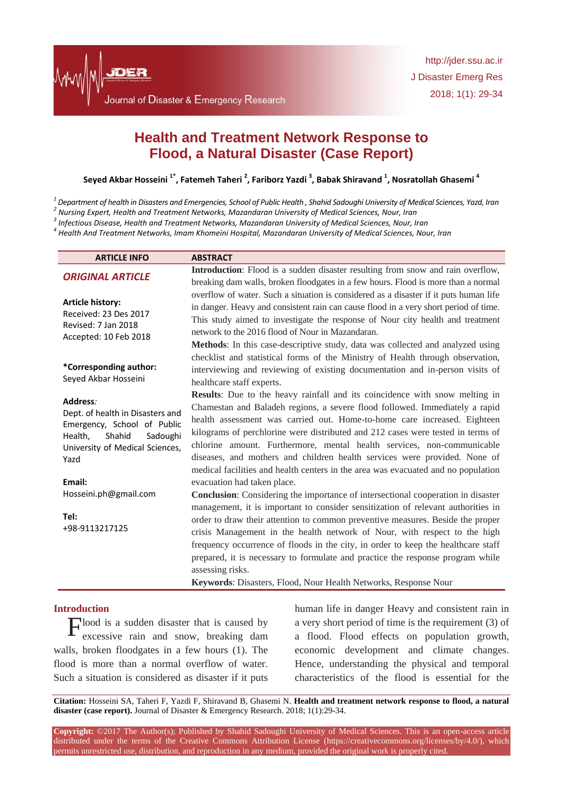# **Health and Treatment Network Response to Flood, a Natural Disaster (Case Report)**

**Seyed Akbar Hosseini 1\* , Fatemeh Taheri <sup>2</sup> , Fariborz Yazdi <sup>3</sup> , Babak Shiravand <sup>1</sup> , Nosratollah Ghasemi <sup>4</sup>**

*1 Department of health in Disasters and Emergencies, School of Public Health , Shahid Sadoughi University of Medical Sciences, Yazd, Iran*

*2 Nursing Expert, Health and Treatment Networks, Mazandaran University of Medical Sciences, Nour, Iran*

*3 Infectious Disease, Health and Treatment Networks, Mazandaran University of Medical Sciences, Nour, Iran*

*4 Health And Treatment Networks, Imam Khomeini Hospital, Mazandaran University of Medical Sciences, Nour, Iran*

| <b>ARTICLE INFO</b>                                                                                                                             | <b>ABSTRACT</b>                                                                       |
|-------------------------------------------------------------------------------------------------------------------------------------------------|---------------------------------------------------------------------------------------|
| <b>ORIGINAL ARTICLE</b>                                                                                                                         | Introduction: Flood is a sudden disaster resulting from snow and rain overflow,       |
|                                                                                                                                                 | breaking dam walls, broken floodgates in a few hours. Flood is more than a normal     |
| <b>Article history:</b><br>Received: 23 Des 2017<br>Revised: 7 Jan 2018<br>Accepted: 10 Feb 2018                                                | overflow of water. Such a situation is considered as a disaster if it puts human life |
|                                                                                                                                                 | in danger. Heavy and consistent rain can cause flood in a very short period of time.  |
|                                                                                                                                                 | This study aimed to investigate the response of Nour city health and treatment        |
|                                                                                                                                                 | network to the 2016 flood of Nour in Mazandaran.                                      |
|                                                                                                                                                 | <b>Methods:</b> In this case-descriptive study, data was collected and analyzed using |
| *Corresponding author:<br>Seyed Akbar Hosseini                                                                                                  | checklist and statistical forms of the Ministry of Health through observation,        |
|                                                                                                                                                 | interviewing and reviewing of existing documentation and in-person visits of          |
|                                                                                                                                                 | healthcare staff experts.                                                             |
| Address:<br>Dept. of health in Disasters and<br>Emergency, School of Public<br>Health,<br>Shahid<br>Sadoughi<br>University of Medical Sciences, | Results: Due to the heavy rainfall and its coincidence with snow melting in           |
|                                                                                                                                                 | Chamestan and Baladeh regions, a severe flood followed. Immediately a rapid           |
|                                                                                                                                                 | health assessment was carried out. Home-to-home care increased. Eighteen              |
|                                                                                                                                                 | kilograms of perchlorine were distributed and 212 cases were tested in terms of       |
|                                                                                                                                                 | chlorine amount. Furthermore, mental health services, non-communicable                |
| Yazd                                                                                                                                            | diseases, and mothers and children health services were provided. None of             |
|                                                                                                                                                 | medical facilities and health centers in the area was evacuated and no population     |
| Email:                                                                                                                                          | evacuation had taken place.                                                           |
| Hosseini.ph@gmail.com                                                                                                                           | Conclusion: Considering the importance of intersectional cooperation in disaster      |
|                                                                                                                                                 | management, it is important to consider sensitization of relevant authorities in      |
| Tel:<br>+98-9113217125                                                                                                                          | order to draw their attention to common preventive measures. Beside the proper        |
|                                                                                                                                                 | crisis Management in the health network of Nour, with respect to the high             |
|                                                                                                                                                 | frequency occurrence of floods in the city, in order to keep the healthcare staff     |
|                                                                                                                                                 | prepared, it is necessary to formulate and practice the response program while        |
|                                                                                                                                                 | assessing risks.                                                                      |
|                                                                                                                                                 | Keywords: Disasters, Flood, Nour Health Networks, Response Nour                       |

#### **Introduction**

 $\Gamma$ lood is a sudden disaster that is caused by excessive rain and snow, breaking dam excessive rain and snow, breaking dam walls, broken floodgates in a few hours [\(1\)](#page-4-0). The flood is more than a normal overflow of water. Such a situation is considered as disaster if it puts

human life in danger Heavy and consistent rain in a very short period of time is the requirement [\(3\)](#page-4-1) of a flood. Flood effects on population growth, economic development and climate changes. Hence, understanding the physical and temporal characteristics of the flood is essential for the

**Citation:** Hosseini SA, Taheri F, Yazdi F, Shiravand B, Ghasemi N. **Health and treatment network response to flood, a natural disaster (case report).** Journal of Disaster & Emergency Research. 2018; 1(1):29-34.

**Copyright:** ©2017 The Author(s); Published by Shahid Sadoughi University of Medical Sciences. This is an open-access article distributed under the terms of the Creative Commons Attribution License (https://creativecommons.org/licenses/by/4.0/), which permits unrestricted use, distribution, and reproduction in any medium, provided the original work is properly cited.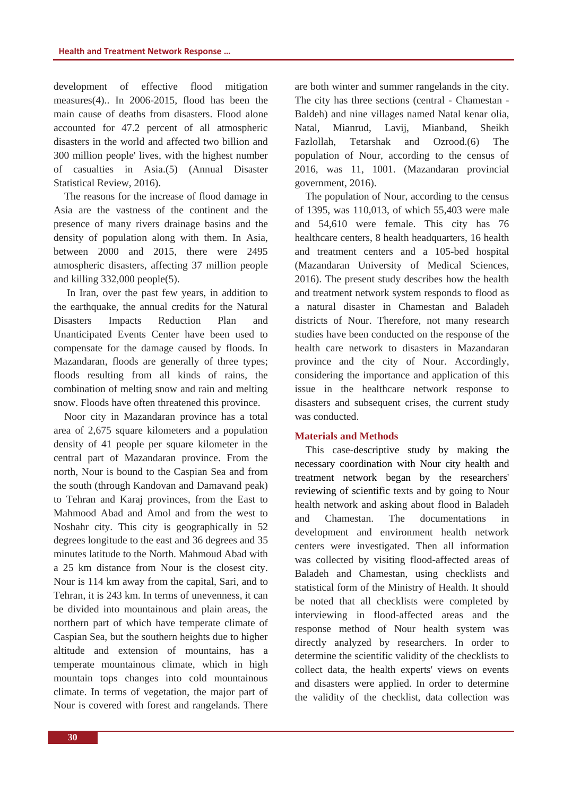development of effective flood mitigation measures[\(4\)](#page-4-2).. In 2006-2015, flood has been the main cause of deaths from disasters. Flood alone accounted for 47.2 percent of all atmospheric disasters in the world and affected two billion and 300 million people' lives, with the highest number of casualties in Asia.(5) (Annual Disaster Statistical Review, 2016).

The reasons for the increase of flood damage in Asia are the vastness of the continent and the presence of many rivers drainage basins and the density of population along with them. In Asia, between 2000 and 2015, there were 2495 atmospheric disasters, affecting 37 million people and killing 332,000 people(5).

In Iran, over the past few years, in addition to the earthquake, the annual credits for the Natural Disasters Impacts Reduction Plan and Unanticipated Events Center have been used to compensate for the damage caused by floods. In Mazandaran, floods are generally of three types; floods resulting from all kinds of rains, the combination of melting snow and rain and melting snow. Floods have often threatened this province.

Noor city in Mazandaran province has a total area of 2,675 square kilometers and a population density of 41 people per square kilometer in the central part of Mazandaran province. From the north, Nour is bound to the Caspian Sea and from the south (through Kandovan and Damavand peak) to Tehran and Karaj provinces, from the East to Mahmood Abad and Amol and from the west to Noshahr city. This city is geographically in 52 degrees longitude to the east and 36 degrees and 35 minutes latitude to the North. Mahmoud Abad with a 25 km distance from Nour is the closest city. Nour is 114 km away from the capital, Sari, and to Tehran, it is 243 km. In terms of unevenness, it can be divided into mountainous and plain areas, the northern part of which have temperate climate of Caspian Sea, but the southern heights due to higher altitude and extension of mountains, has a temperate mountainous climate, which in high mountain tops changes into cold mountainous climate. In terms of vegetation, the major part of Nour is covered with forest and rangelands. There

are both winter and summer rangelands in the city. The city has three sections (central - Chamestan - Baldeh) and nine villages named Natal kenar olia, Natal, Mianrud, Lavij, Mianband, Sheikh Fazlollah, Tetarshak and Ozrood.(6) The population of Nour, according to the census of 2016, was 11, 1001. (Mazandaran provincial government, 2016).

The population of Nour, according to the census of 1395, was 110,013, of which 55,403 were male and 54,610 were female. This city has 76 healthcare centers, 8 health headquarters, 16 health and treatment centers and a 105-bed hospital (Mazandaran University of Medical Sciences, 2016). The present study describes how the health and treatment network system responds to flood as a natural disaster in Chamestan and Baladeh districts of Nour. Therefore, not many research studies have been conducted on the response of the health care network to disasters in Mazandaran province and the city of Nour. Accordingly, considering the importance and application of this issue in the healthcare network response to disasters and subsequent crises, the current study was conducted.

#### **Materials and Methods**

This case-descriptive study by making the necessary coordination with Nour city health and treatment network began by the researchers' reviewing of scientific texts and by going to Nour health network and asking about flood in Baladeh and Chamestan. The documentations in development and environment health network centers were investigated. Then all information was collected by visiting flood-affected areas of Baladeh and Chamestan, using checklists and statistical form of the Ministry of Health. It should be noted that all checklists were completed by interviewing in flood-affected areas and the response method of Nour health system was directly analyzed by researchers. In order to determine the scientific validity of the checklists to collect data, the health experts' views on events and disasters were applied. In order to determine the validity of the checklist, data collection was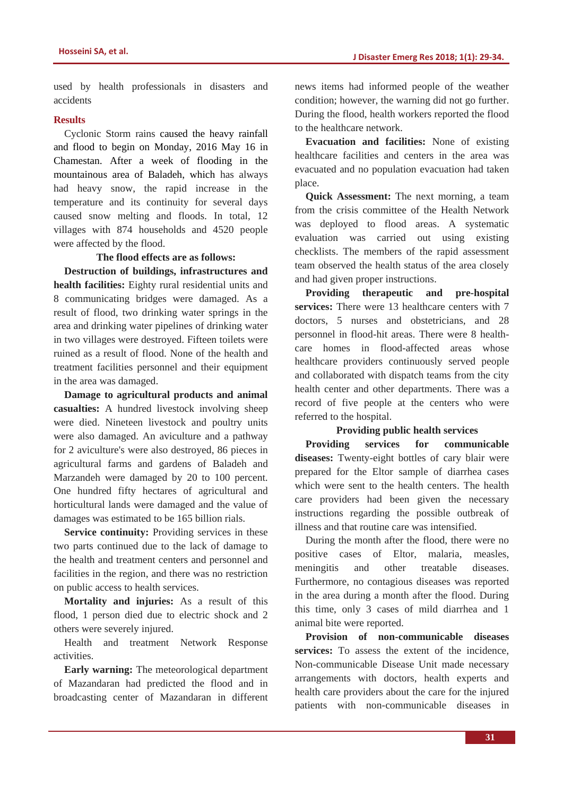used by health professionals in disasters and accidents

# **Results**

Cyclonic Storm rains caused the heavy rainfall and flood to begin on Monday, 2016 May 16 in Chamestan. After a week of flooding in the mountainous area of Baladeh, which has always had heavy snow, the rapid increase in the temperature and its continuity for several days caused snow melting and floods. In total, 12 villages with 874 households and 4520 people were affected by the flood.

# **The flood effects are as follows:**

**Destruction of buildings, infrastructures and health facilities:** Eighty rural residential units and 8 communicating bridges were damaged. As a result of flood, two drinking water springs in the area and drinking water pipelines of drinking water in two villages were destroyed. Fifteen toilets were ruined as a result of flood. None of the health and treatment facilities personnel and their equipment in the area was damaged.

**Damage to agricultural products and animal casualties:** A hundred livestock involving sheep were died. Nineteen livestock and poultry units were also damaged. An aviculture and a pathway for 2 aviculture's were also destroyed, 86 pieces in agricultural farms and gardens of Baladeh and Marzandeh were damaged by 20 to 100 percent. One hundred fifty hectares of agricultural and horticultural lands were damaged and the value of damages was estimated to be 165 billion rials.

**Service continuity:** Providing services in these two parts continued due to the lack of damage to the health and treatment centers and personnel and facilities in the region, and there was no restriction on public access to health services.

**Mortality and injuries:** As a result of this flood, 1 person died due to electric shock and 2 others were severely injured.

Health and treatment Network Response activities.

**Early warning:** The meteorological department of Mazandaran had predicted the flood and in broadcasting center of Mazandaran in different news items had informed people of the weather condition; however, the warning did not go further. During the flood, health workers reported the flood to the healthcare network.

**Evacuation and facilities:** None of existing healthcare facilities and centers in the area was evacuated and no population evacuation had taken place.

**Quick Assessment:** The next morning, a team from the crisis committee of the Health Network was deployed to flood areas. A systematic evaluation was carried out using existing checklists. The members of the rapid assessment team observed the health status of the area closely and had given proper instructions.

**Providing therapeutic and pre-hospital services:** There were 13 healthcare centers with 7 doctors, 5 nurses and obstetricians, and 28 personnel in flood-hit areas. There were 8 healthcare homes in flood-affected areas whose healthcare providers continuously served people and collaborated with dispatch teams from the city health center and other departments. There was a record of five people at the centers who were referred to the hospital.

## **Providing public health services**

**Providing services for communicable diseases:** Twenty-eight bottles of cary blair were prepared for the Eltor sample of diarrhea cases which were sent to the health centers. The health care providers had been given the necessary instructions regarding the possible outbreak of illness and that routine care was intensified.

During the month after the flood, there were no positive cases of Eltor, malaria, measles, meningitis and other treatable diseases. Furthermore, no contagious diseases was reported in the area during a month after the flood. During this time, only 3 cases of mild diarrhea and 1 animal bite were reported.

**Provision of non-communicable diseases services:** To assess the extent of the incidence, Non-communicable Disease Unit made necessary arrangements with doctors, health experts and health care providers about the care for the injured patients with non-communicable diseases in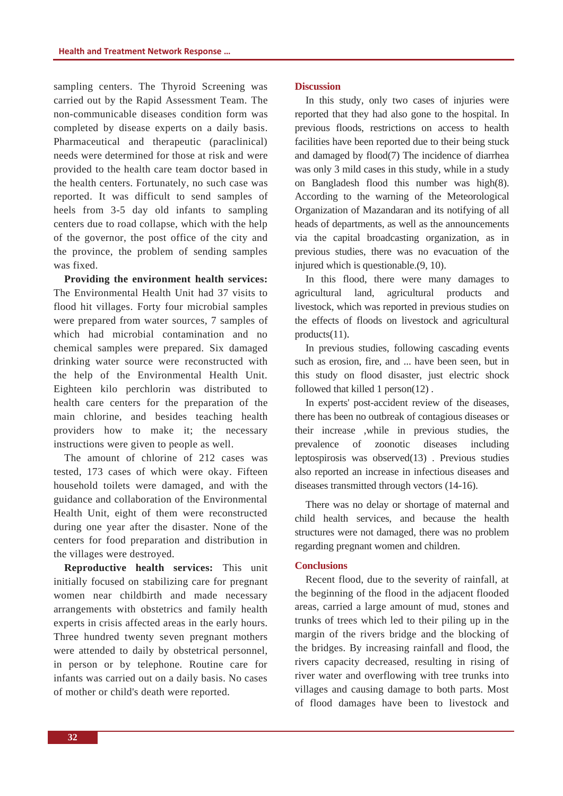sampling centers. The Thyroid Screening was carried out by the Rapid Assessment Team. The non-communicable diseases condition form was completed by disease experts on a daily basis. Pharmaceutical and therapeutic (paraclinical) needs were determined for those at risk and were provided to the health care team doctor based in the health centers. Fortunately, no such case was reported. It was difficult to send samples of heels from 3-5 day old infants to sampling centers due to road collapse, which with the help of the governor, the post office of the city and the province, the problem of sending samples was fixed.

**Providing the environment health services:** The Environmental Health Unit had 37 visits to flood hit villages. Forty four microbial samples were prepared from water sources, 7 samples of which had microbial contamination and no chemical samples were prepared. Six damaged drinking water source were reconstructed with the help of the Environmental Health Unit. Eighteen kilo perchlorin was distributed to health care centers for the preparation of the main chlorine, and besides teaching health providers how to make it; the necessary instructions were given to people as well.

The amount of chlorine of 212 cases was tested, 173 cases of which were okay. Fifteen household toilets were damaged, and with the guidance and collaboration of the Environmental Health Unit, eight of them were reconstructed during one year after the disaster. None of the centers for food preparation and distribution in the villages were destroyed.

**Reproductive health services:** This unit initially focused on stabilizing care for pregnant women near childbirth and made necessary arrangements with obstetrics and family health experts in crisis affected areas in the early hours. Three hundred twenty seven pregnant mothers were attended to daily by obstetrical personnel, in person or by telephone. Routine care for infants was carried out on a daily basis. No cases of mother or child's death were reported.

#### **Discussion**

In this study, only two cases of injuries were reported that they had also gone to the hospital. In previous floods, restrictions on access to health facilities have been reported due to their being stuck and damaged by flood[\(7\)](#page-4-3) The incidence of diarrhea was only 3 mild cases in this study, while in a study on Bangladesh flood this number was high[\(8\)](#page-4-4). According to the warning of the Meteorological Organization of Mazandaran and its notifying of all heads of departments, as well as the announcements via the capital broadcasting organization, as in previous studies, there was no evacuation of the injured which is questionable.[\(9,](#page-4-5) 10).

In this flood, there were many damages to agricultural land, agricultural products and livestock, which was reported in previous studies on the effects of floods on livestock and agricultural products[\(11\)](#page-5-0).

In previous studies, following cascading events such as erosion, fire, and ... have been seen, but in this study on flood disaster, just electric shock followed that killed 1 person(12) .

In experts' post-accident review of the diseases, there has been no outbreak of contagious diseases or their increase ,while in previous studies, the prevalence of zoonotic diseases including leptospirosis was observed(13) . Previous studies also reported an increase in infectious diseases and diseases transmitted through vectors (14-16).

There was no delay or shortage of maternal and child health services, and because the health structures were not damaged, there was no problem regarding pregnant women and children.

#### **Conclusions**

Recent flood, due to the severity of rainfall, at the beginning of the flood in the adjacent flooded areas, carried a large amount of mud, stones and trunks of trees which led to their piling up in the margin of the rivers bridge and the blocking of the bridges. By increasing rainfall and flood, the rivers capacity decreased, resulting in rising of river water and overflowing with tree trunks into villages and causing damage to both parts. Most of flood damages have been to livestock and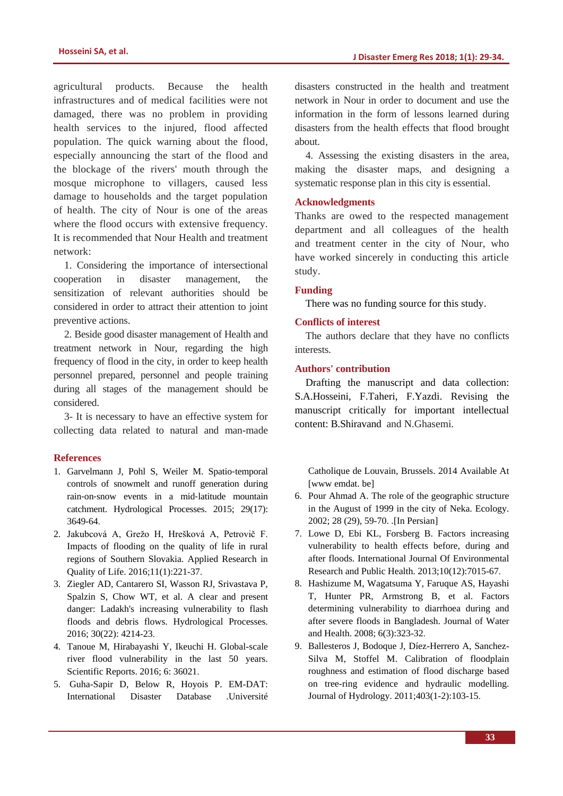agricultural products. Because the health infrastructures and of medical facilities were not damaged, there was no problem in providing health services to the injured, flood affected population. The quick warning about the flood, especially announcing the start of the flood and the blockage of the rivers' mouth through the mosque microphone to villagers, caused less damage to households and the target population of health. The city of Nour is one of the areas where the flood occurs with extensive frequency. It is recommended that Nour Health and treatment network:

1. Considering the importance of intersectional cooperation in disaster management, the sensitization of relevant authorities should be considered in order to attract their attention to joint preventive actions.

2. Beside good disaster management of Health and treatment network in Nour, regarding the high frequency of flood in the city, in order to keep health personnel prepared, personnel and people training during all stages of the management should be considered.

3- It is necessary to have an effective system for collecting data related to natural and man-made

#### **References**

- <span id="page-4-0"></span>1. Garvelmann J, Pohl S, Weiler M. Spatio‐temporal controls of snowmelt and runoff generation during rain‐on‐snow events in a mid‐latitude mountain catchment. Hydrological Processes. 2015; 29(17): 3649-64.
- 2. Jakubcová A, Grežo H, Hrešková A, Petrovič F. Impacts of flooding on the quality of life in rural regions of Southern Slovakia. Applied Research in Quality of Life. 2016;11(1):221-37.
- <span id="page-4-1"></span>3. Ziegler AD, Cantarero SI, Wasson RJ, Srivastava P, Spalzin S, Chow WT, et al. A clear and present danger: Ladakh's increasing vulnerability to flash floods and debris flows. Hydrological Processes. 2016; 30(22): 4214-23.
- <span id="page-4-2"></span>4. Tanoue M, Hirabayashi Y, Ikeuchi H. Global-scale river flood vulnerability in the last 50 years. Scientific Reports. 2016; 6: 36021.
- 5. Guha-Sapir D, Below R, Hoyois P. EM-DAT: International Disaster Database .Université

disasters constructed in the health and treatment network in Nour in order to document and use the information in the form of lessons learned during disasters from the health effects that flood brought about.

4. Assessing the existing disasters in the area, making the disaster maps, and designing a systematic response plan in this city is essential.

# **Acknowledgments**

Thanks are owed to the respected management department and all colleagues of the health and treatment center in the city of Nour, who have worked sincerely in conducting this article study.

#### **Funding**

There was no funding source for this study.

#### **Conflicts of interest**

The authors declare that they have no conflicts interests.

## **Authors' contribution**

Drafting the manuscript and data collection: S.A.Hosseini, F.Taheri, F.Yazdi. Revising the manuscript critically for important intellectual content: B.Shiravand and N.Ghasemi.

Catholique de Louvain, Brussels. 2014 Available At [www emdat. be]

- 6. Pour Ahmad A. The role of the geographic structure in the August of 1999 in the city of Neka. Ecology. 2002; 28 (29), 59-70. .[In Persian]
- <span id="page-4-3"></span>7. Lowe D, Ebi KL, Forsberg B. Factors increasing vulnerability to health effects before, during and after floods. International Journal Of Environmental Research and Public Health. 2013;10(12):7015-67.
- <span id="page-4-4"></span>8. Hashizume M, Wagatsuma Y, Faruque AS, Hayashi T, Hunter PR, Armstrong B, et al. Factors determining vulnerability to diarrhoea during and after severe floods in Bangladesh. Journal of Water and Health. 2008; 6(3):323-32.
- <span id="page-4-5"></span>9. Ballesteros J, Bodoque J, Díez-Herrero A, Sanchez-Silva M, Stoffel M. Calibration of floodplain roughness and estimation of flood discharge based on tree-ring evidence and hydraulic modelling. Journal of Hydrology. 2011;403(1-2):103-15.